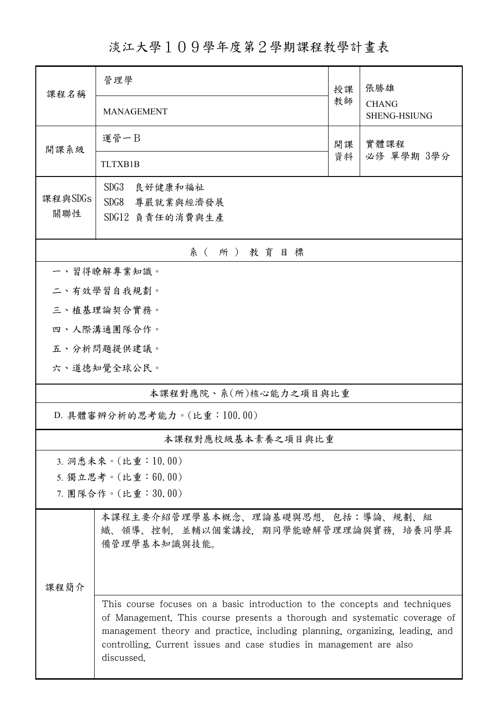淡江大學109學年度第2學期課程教學計畫表

| 課程名稱                       | 管理學                                                                                                                                                                                                                                                                                                                          | 授課   | 張勝雄                          |  |  |  |  |  |
|----------------------------|------------------------------------------------------------------------------------------------------------------------------------------------------------------------------------------------------------------------------------------------------------------------------------------------------------------------------|------|------------------------------|--|--|--|--|--|
|                            | <b>MANAGEMENT</b>                                                                                                                                                                                                                                                                                                            | 教師   | <b>CHANG</b><br>SHENG-HSIUNG |  |  |  |  |  |
| 開課系級                       | 運管一B                                                                                                                                                                                                                                                                                                                         | 實體課程 |                              |  |  |  |  |  |
|                            | <b>TLTXB1B</b>                                                                                                                                                                                                                                                                                                               | 資料   | 必修 單學期 3學分                   |  |  |  |  |  |
| 課程與SDGs<br>關聯性             | SDG3<br>良好健康和福祉<br>SDG8<br>尊嚴就業與經濟發展<br>SDG12 負責任的消費與生產                                                                                                                                                                                                                                                                      |      |                              |  |  |  |  |  |
|                            |                                                                                                                                                                                                                                                                                                                              |      |                              |  |  |  |  |  |
| 系(所)教育目標<br>一、習得瞭解專業知識。    |                                                                                                                                                                                                                                                                                                                              |      |                              |  |  |  |  |  |
| 二、有效學習自我規劃。                |                                                                                                                                                                                                                                                                                                                              |      |                              |  |  |  |  |  |
| 三、植基理論契合實務。                |                                                                                                                                                                                                                                                                                                                              |      |                              |  |  |  |  |  |
|                            | 四、人際溝通團隊合作。                                                                                                                                                                                                                                                                                                                  |      |                              |  |  |  |  |  |
|                            | 五、分析問題提供建議。                                                                                                                                                                                                                                                                                                                  |      |                              |  |  |  |  |  |
|                            | 六、道德知覺全球公民。                                                                                                                                                                                                                                                                                                                  |      |                              |  |  |  |  |  |
| 本課程對應院、系(所)核心能力之項目與比重      |                                                                                                                                                                                                                                                                                                                              |      |                              |  |  |  |  |  |
| D. 具體審辨分析的思考能力。(比重:100.00) |                                                                                                                                                                                                                                                                                                                              |      |                              |  |  |  |  |  |
|                            | 本課程對應校級基本素養之項目與比重                                                                                                                                                                                                                                                                                                            |      |                              |  |  |  |  |  |
|                            | 3. 洞悉未來。(比重:10.00)                                                                                                                                                                                                                                                                                                           |      |                              |  |  |  |  |  |
|                            | 5. 獨立思考。(比重:60.00)                                                                                                                                                                                                                                                                                                           |      |                              |  |  |  |  |  |
|                            | 7. 團隊合作。(比重:30.00)                                                                                                                                                                                                                                                                                                           |      |                              |  |  |  |  |  |
|                            | 本課程主要介紹管理學基本概念、理論基礎與思想,包括:導論、規劃、組<br>織、領導、控制,並輔以個案講授,期同學能瞭解管理理論與實務,培養同學具<br>備管理學基本知識與技能。                                                                                                                                                                                                                                     |      |                              |  |  |  |  |  |
| 课程简介                       |                                                                                                                                                                                                                                                                                                                              |      |                              |  |  |  |  |  |
|                            |                                                                                                                                                                                                                                                                                                                              |      |                              |  |  |  |  |  |
|                            | This course focuses on a basic introduction to the concepts and techniques<br>of Management. This course presents a thorough and systematic coverage of<br>management theory and practice, including planning, organizing, leading, and<br>controlling. Current issues and case studies in management are also<br>discussed. |      |                              |  |  |  |  |  |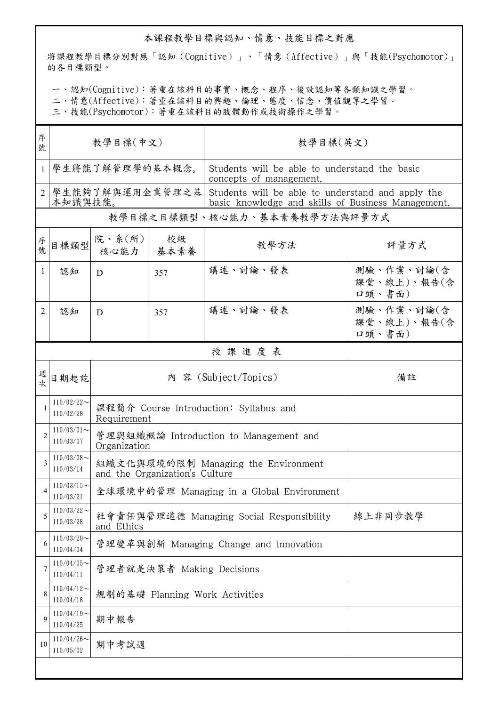## 本課程教學目標與認知、情意、技能目標之對應

將課程教學目標分別對應「認知(Cognitive)」、「情意(Affective)」與「技能(Psychomotor)」 的各目標類型。

一、認知(Cognitive):著重在該科目的事實、概念、程序、後設認知等各類知識之學習。

二、情意(Affective):著重在該科目的興趣、倫理、態度、信念、價值觀等之學習。

三、技能(Psychomotor):著重在該科目的肢體動作或技術操作之學習。

| 序<br>號         | 教學目標(中文)                     |                                                                       |                                | 教學目標(英文)                                                                                                |                                     |  |  |  |
|----------------|------------------------------|-----------------------------------------------------------------------|--------------------------------|---------------------------------------------------------------------------------------------------------|-------------------------------------|--|--|--|
| $\mathbf{1}$   |                              | 學生將能了解管理學的基本概念。                                                       |                                | Students will be able to understand the basic<br>concepts of management.                                |                                     |  |  |  |
| $\overline{2}$ | 學生能夠了解與運用企業管理之基<br>本知識與技能。   |                                                                       |                                | Students will be able to understand and apply the<br>basic knowledge and skills of Business Management. |                                     |  |  |  |
|                | 教學目標之目標類型、核心能力、基本素養教學方法與評量方式 |                                                                       |                                |                                                                                                         |                                     |  |  |  |
| 序號             | 目標類型                         | 院、系 $(\kappa)$  <br>核心能力                                              | 校級<br>基本素養                     | 教學方法                                                                                                    | 評量方式                                |  |  |  |
| 1              | 認知                           | D                                                                     | 357                            | 講述、討論、發表                                                                                                | 測驗、作業、討論(含<br>課堂、線上)、報告(含<br>口頭、書面) |  |  |  |
| 2              | 認知                           | D                                                                     | 357                            | 講述、討論、發表                                                                                                | 測驗、作業、討論(含<br>課堂、線上)、報告(含<br>口頭、書面) |  |  |  |
|                |                              |                                                                       |                                | 授課進度表                                                                                                   |                                     |  |  |  |
| 週次             | 日期起訖                         | 內 容 (Subject/Topics)                                                  |                                |                                                                                                         | 備註                                  |  |  |  |
| 1              | $110/02/22$ ~<br>110/02/28   | 課程簡介 Course Introduction: Syllabus and<br>Requirement                 |                                |                                                                                                         |                                     |  |  |  |
| $\overline{2}$ | $110/03/01$ ~<br>110/03/07   | 管理與組織概論 Introduction to Management and<br>Organization                |                                |                                                                                                         |                                     |  |  |  |
| 3              | $110/03/08$ ~<br>110/03/14   | 組織文化與環境的限制 Managing the Environment<br>and the Organization's Culture |                                |                                                                                                         |                                     |  |  |  |
| 4              | $110/03/15$ ~<br>110/03/21   | 全球環境中的管理 Managing in a Global Environment                             |                                |                                                                                                         |                                     |  |  |  |
| 5              | $110/03/22$ ~<br>110/03/28   | 社會責任與管理道德 Managing Social Responsibility<br>線上非同步教學<br>and Ethics     |                                |                                                                                                         |                                     |  |  |  |
| 6              | $110/03/29$ ~<br>110/04/04   | 管理變革與創新 Managing Change and Innovation                                |                                |                                                                                                         |                                     |  |  |  |
| 7              | $110/04/05$ ~<br>110/04/11   | 管理者就是決策者 Making Decisions                                             |                                |                                                                                                         |                                     |  |  |  |
| 8              | $110/04/12$ ~<br>110/04/18   |                                                                       | 規劃的基礎 Planning Work Activities |                                                                                                         |                                     |  |  |  |
| 9              | $110/04/19$ ~<br>110/04/25   | 期中報告                                                                  |                                |                                                                                                         |                                     |  |  |  |
| 10             | $110/04/26$ ~<br>110/05/02   | 期中考試週                                                                 |                                |                                                                                                         |                                     |  |  |  |
|                |                              |                                                                       |                                |                                                                                                         |                                     |  |  |  |